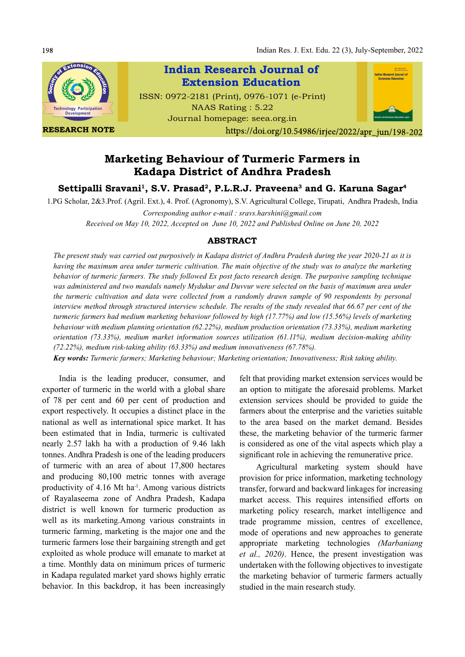Indian Res. J. Ext. Edu. 22 (3), July-September, 2022



RESEARCH NOTE



# Marketing Behaviour of Turmeric Farmers in Kadapa District of Andhra Pradesh

Settipalli Sravani<sup>1</sup>, S.V. Prasad<sup>2</sup>, P.L.R.J. Praveena<sup>3</sup> and G. Karuna Sagar<sup>4</sup>

1.PG Scholar, 2&3.Prof. (Agril. Ext.), 4. Prof. (Agronomy), S.V. Agricultural College, Tirupati, Andhra Pradesh, India Corresponding author e-mail : sravs.harshini@gmail.com

Received on May 10, 2022, Accepted on June 10, 2022 and Published Online on June 20, 2022

## ABSTRACT

The present study was carried out purposively in Kadapa district of Andhra Pradesh during the year 2020-21 as it is having the maximum area under turmeric cultivation. The main objective of the study was to analyze the marketing behavior of turmeric farmers. The study followed Ex post facto research design. The purposive sampling technique was administered and two mandals namely Mydukur and Duvvur were selected on the basis of maximum area under the turmeric cultivation and data were collected from a randomly drawn sample of 90 respondents by personal interview method through structured interview schedule. The results of the study revealed that 66.67 per cent of the turmeric farmers had medium marketing behaviour followed by high (17.77%) and low (15.56%) levels of marketing behaviour with medium planning orientation (62.22%), medium production orientation (73.33%), medium marketing orientation (73.33%), medium market information sources utilization (61.11%), medium decision-making ability (72.22%), medium risk-taking ability (63.33%) and medium innovativeness (67.78%).

Key words: Turmeric farmers; Marketing behaviour; Marketing orientation; Innovativeness; Risk taking ability.

India is the leading producer, consumer, and exporter of turmeric in the world with a global share of 78 per cent and 60 per cent of production and export respectively. It occupies a distinct place in the national as well as international spice market. It has been estimated that in India, turmeric is cultivated nearly 2.57 lakh ha with a production of 9.46 lakh tonnes. Andhra Pradesh is one of the leading producers of turmeric with an area of about 17,800 hectares and producing 80,100 metric tonnes with average productivity of 4.16 Mt ha<sup>-1</sup>. Among various districts of Rayalaseema zone of Andhra Pradesh, Kadapa district is well known for turmeric production as well as its marketing.Among various constraints in turmeric farming, marketing is the major one and the turmeric farmers lose their bargaining strength and get exploited as whole produce will emanate to market at a time. Monthly data on minimum prices of turmeric in Kadapa regulated market yard shows highly erratic behavior. In this backdrop, it has been increasingly

felt that providing market extension services would be an option to mitigate the aforesaid problems. Market extension services should be provided to guide the farmers about the enterprise and the varieties suitable to the area based on the market demand. Besides these, the marketing behavior of the turmeric farmer is considered as one of the vital aspects which play a significant role in achieving the remunerative price.

Agricultural marketing system should have provision for price information, marketing technology transfer, forward and backward linkages for increasing market access. This requires intensified efforts on marketing policy research, market intelligence and trade programme mission, centres of excellence, mode of operations and new approaches to generate appropriate marketing technologies (Marbaniang et al., 2020). Hence, the present investigation was undertaken with the following objectives to investigate the marketing behavior of turmeric farmers actually studied in the main research study.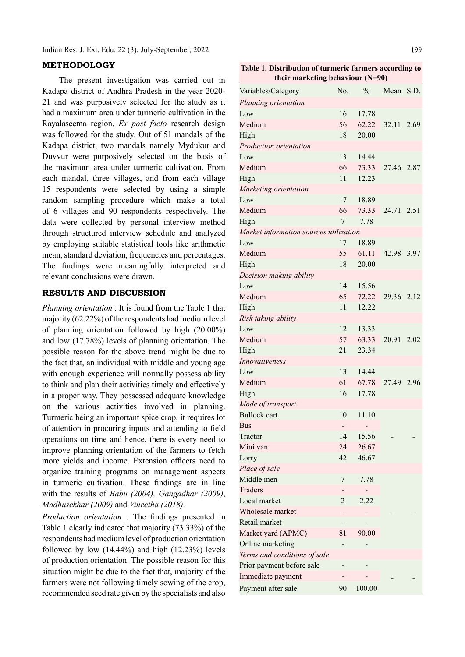Indian Res. J. Ext. Edu. 22 (3), July-September, 2022

#### METHODOLOGY

The present investigation was carried out in Kadapa district of Andhra Pradesh in the year 2020- 21 and was purposively selected for the study as it had a maximum area under turmeric cultivation in the Rayalaseema region. Ex post facto research design was followed for the study. Out of 51 mandals of the Kadapa district, two mandals namely Mydukur and Duvvur were purposively selected on the basis of the maximum area under turmeric cultivation. From each mandal, three villages, and from each village 15 respondents were selected by using a simple random sampling procedure which make a total of 6 villages and 90 respondents respectively. The data were collected by personal interview method through structured interview schedule and analyzed by employing suitable statistical tools like arithmetic mean, standard deviation, frequencies and percentages. The findings were meaningfully interpreted and relevant conclusions were drawn.

#### RESULTS AND DISCUSSION

Planning orientation : It is found from the Table 1 that majority (62.22%) of the respondents had medium level of planning orientation followed by high (20.00%) and low (17.78%) levels of planning orientation. The possible reason for the above trend might be due to the fact that, an individual with middle and young age with enough experience will normally possess ability to think and plan their activities timely and effectively in a proper way. They possessed adequate knowledge on the various activities involved in planning. Turmeric being an important spice crop, it requires lot of attention in procuring inputs and attending to field operations on time and hence, there is every need to improve planning orientation of the farmers to fetch more yields and income. Extension officers need to organize training programs on management aspects in turmeric cultivation. These findings are in line with the results of Babu (2004), Gangadhar (2009), Madhusekhar (2009) and Vineetha (2018).

*Production orientation* : The findings presented in Table 1 clearly indicated that majority (73.33%) of the respondents had medium level of production orientation followed by low  $(14.44\%)$  and high  $(12.23\%)$  levels of production orientation. The possible reason for this situation might be due to the fact that, majority of the farmers were not following timely sowing of the crop, recommended seed rate given by the specialists and also

Table 1. Distribution of turmeric farmers according to their marketing behaviour (N=90)

| Variables/Category                     | No. | $\frac{0}{0}$ | Mean       | S.D. |
|----------------------------------------|-----|---------------|------------|------|
| Planning orientation                   |     |               |            |      |
| Low                                    | 16  | 17.78         |            |      |
| Medium                                 | 56  | 62.22         | 32.11      | 2.69 |
| High                                   | 18  | 20.00         |            |      |
| Production orientation                 |     |               |            |      |
| Low                                    | 13  | 14.44         |            |      |
| Medium                                 | 66  | 73.33         | 27.46      | 2.87 |
| High                                   | 11  | 12.23         |            |      |
| Marketing orientation                  |     |               |            |      |
| Low                                    | 17  | 18.89         |            |      |
| Medium                                 | 66  | 73.33         | 24.71 2.51 |      |
| High                                   | 7   | 7.78          |            |      |
| Market information sources utilization |     |               |            |      |
| Low                                    | 17  | 18.89         |            |      |
| Medium                                 | 55  | 61.11         | 42.98      | 3.97 |
| High                                   | 18  | 20.00         |            |      |
| Decision making ability                |     |               |            |      |
| Low                                    | 14  | 15.56         |            |      |
| Medium                                 | 65  | 72.22         | 29.36      | 2.12 |
| High                                   | 11  | 12.22         |            |      |
| Risk taking ability                    |     |               |            |      |
| Low                                    | 12  | 13.33         |            |      |
| Medium                                 | 57  | 63.33         | 20.91      | 2.02 |
| High                                   | 21  | 23.34         |            |      |
| <i>Innovativeness</i>                  |     |               |            |      |
| Low                                    | 13  | 14.44         |            |      |
| Medium                                 | 61  | 67.78         | 27.49      | 2.96 |
| High                                   | 16  | 17.78         |            |      |
| Mode of transport                      |     |               |            |      |
| <b>Bullock</b> cart                    | 10  | 11.10         |            |      |
| Bus                                    | -   |               |            |      |
| Tractor                                | 14  | 15.56         |            |      |
| Mini van                               | 24  | 26.67         |            |      |
| Lorry                                  | 42  | 46.67         |            |      |
| Place of sale                          |     |               |            |      |
| Middle men                             | 7   | 7.78          |            |      |
| Traders                                |     |               |            |      |
| Local market                           | 2   | 2.22          |            |      |
| Wholesale market                       |     |               |            |      |
| Retail market                          |     |               |            |      |
| Market yard (APMC)                     | 81  | 90.00         |            |      |
| Online marketing                       |     |               |            |      |
| Terms and conditions of sale           |     |               |            |      |
| Prior payment before sale              |     |               |            |      |
| Immediate payment                      |     |               |            |      |
| Payment after sale                     | 90  | 100.00        |            |      |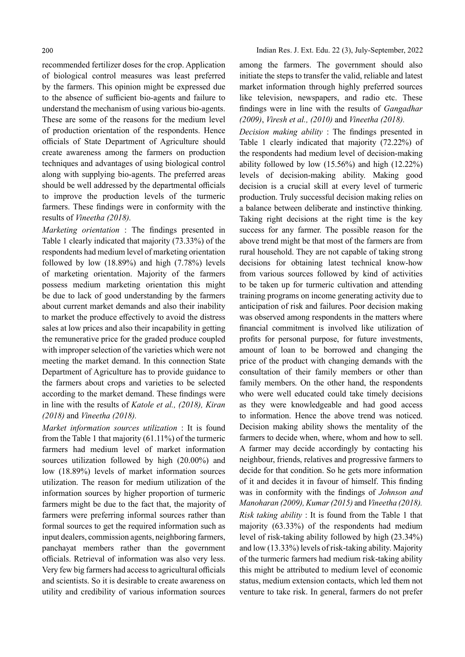recommended fertilizer doses for the crop. Application of biological control measures was least preferred by the farmers. This opinion might be expressed due to the absence of sufficient bio-agents and failure to understand the mechanism of using various bio-agents. These are some of the reasons for the medium level of production orientation of the respondents. Hence officials of State Department of Agriculture should create awareness among the farmers on production techniques and advantages of using biological control along with supplying bio-agents. The preferred areas should be well addressed by the departmental officials to improve the production levels of the turmeric farmers. These findings were in conformity with the results of Vineetha (2018).

Marketing orientation : The findings presented in Table 1 clearly indicated that majority (73.33%) of the respondents had medium level of marketing orientation followed by low (18.89%) and high (7.78%) levels of marketing orientation. Majority of the farmers possess medium marketing orientation this might be due to lack of good understanding by the farmers about current market demands and also their inability to market the produce effectively to avoid the distress sales at low prices and also their incapability in getting the remunerative price for the graded produce coupled with improper selection of the varieties which were not meeting the market demand. In this connection State Department of Agriculture has to provide guidance to the farmers about crops and varieties to be selected according to the market demand. These findings were in line with the results of Katole et al., (2018), Kiran (2018) and Vineetha (2018).

Market information sources utilization : It is found from the Table 1 that majority (61.11%) of the turmeric farmers had medium level of market information sources utilization followed by high (20.00%) and low (18.89%) levels of market information sources utilization. The reason for medium utilization of the information sources by higher proportion of turmeric farmers might be due to the fact that, the majority of farmers were preferring informal sources rather than formal sources to get the required information such as input dealers, commission agents, neighboring farmers, panchayat members rather than the government officials. Retrieval of information was also very less. Very few big farmers had access to agricultural officials and scientists. So it is desirable to create awareness on utility and credibility of various information sources among the farmers. The government should also initiate the steps to transfer the valid, reliable and latest market information through highly preferred sources like television, newspapers, and radio etc. These findings were in line with the results of *Gangadhar* (2009), Viresh et al., (2010) and Vineetha (2018).

Decision making ability : The findings presented in Table 1 clearly indicated that majority (72.22%) of the respondents had medium level of decision-making ability followed by low (15.56%) and high (12.22%) levels of decision-making ability. Making good decision is a crucial skill at every level of turmeric production. Truly successful decision making relies on a balance between deliberate and instinctive thinking. Taking right decisions at the right time is the key success for any farmer. The possible reason for the above trend might be that most of the farmers are from rural household. They are not capable of taking strong decisions for obtaining latest technical know-how from various sources followed by kind of activities to be taken up for turmeric cultivation and attending training programs on income generating activity due to anticipation of risk and failures. Poor decision making was observed among respondents in the matters where financial commitment is involved like utilization of profits for personal purpose, for future investments, amount of loan to be borrowed and changing the price of the product with changing demands with the consultation of their family members or other than family members. On the other hand, the respondents who were well educated could take timely decisions as they were knowledgeable and had good access to information. Hence the above trend was noticed. Decision making ability shows the mentality of the farmers to decide when, where, whom and how to sell. A farmer may decide accordingly by contacting his neighbour, friends, relatives and progressive farmers to decide for that condition. So he gets more information of it and decides it in favour of himself. This finding was in conformity with the findings of *Johnson and* Manoharan (2009), Kumar (2015) and Vineetha (2018). Risk taking ability : It is found from the Table 1 that majority (63.33%) of the respondents had medium level of risk-taking ability followed by high (23.34%) and low (13.33%) levels of risk-taking ability. Majority of the turmeric farmers had medium risk-taking ability this might be attributed to medium level of economic status, medium extension contacts, which led them not venture to take risk. In general, farmers do not prefer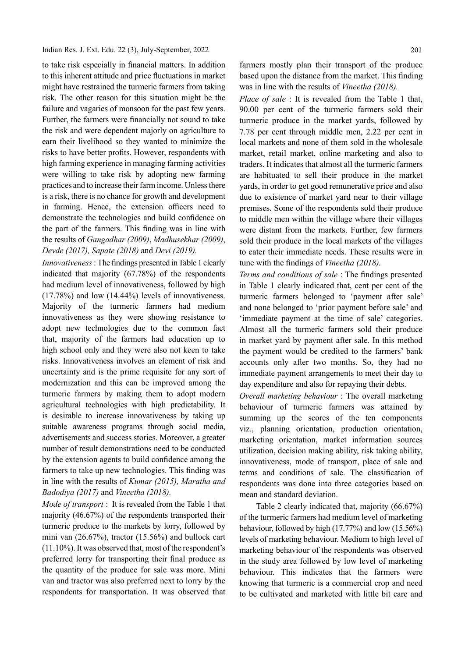to take risk especially in financial matters. In addition to this inherent attitude and price fluctuations in market might have restrained the turmeric farmers from taking risk. The other reason for this situation might be the failure and vagaries of monsoon for the past few years. Further, the farmers were financially not sound to take the risk and were dependent majorly on agriculture to earn their livelihood so they wanted to minimize the risks to have better profits. However, respondents with high farming experience in managing farming activities were willing to take risk by adopting new farming practices and to increase their farm income. Unless there is a risk, there is no chance for growth and development in farming. Hence, the extension officers need to demonstrate the technologies and build confidence on the part of the farmers. This finding was in line with the results of Gangadhar (2009), Madhusekhar (2009), Devde (2017), Sapate (2018) and Devi (2019).

Innovativeness : The findings presented in Table 1 clearly indicated that majority (67.78%) of the respondents had medium level of innovativeness, followed by high (17.78%) and low (14.44%) levels of innovativeness. Majority of the turmeric farmers had medium innovativeness as they were showing resistance to adopt new technologies due to the common fact that, majority of the farmers had education up to high school only and they were also not keen to take risks. Innovativeness involves an element of risk and uncertainty and is the prime requisite for any sort of modernization and this can be improved among the turmeric farmers by making them to adopt modern agricultural technologies with high predictability. It is desirable to increase innovativeness by taking up suitable awareness programs through social media, advertisements and success stories. Moreover, a greater number of result demonstrations need to be conducted by the extension agents to build confidence among the farmers to take up new technologies. This finding was in line with the results of Kumar (2015), Maratha and Badodiya (2017) and Vineetha (2018).

Mode of transport : It is revealed from the Table 1 that majority (46.67%) of the respondents transported their turmeric produce to the markets by lorry, followed by mini van (26.67%), tractor (15.56%) and bullock cart (11.10%). It was observed that, most of the respondent's preferred lorry for transporting their final produce as the quantity of the produce for sale was more. Mini van and tractor was also preferred next to lorry by the respondents for transportation. It was observed that farmers mostly plan their transport of the produce based upon the distance from the market. This finding was in line with the results of Vineetha (2018).

Place of sale : It is revealed from the Table 1 that, 90.00 per cent of the turmeric farmers sold their turmeric produce in the market yards, followed by 7.78 per cent through middle men, 2.22 per cent in local markets and none of them sold in the wholesale market, retail market, online marketing and also to traders. It indicates that almost all the turmeric farmers are habituated to sell their produce in the market yards, in order to get good remunerative price and also due to existence of market yard near to their village premises. Some of the respondents sold their produce to middle men within the village where their villages were distant from the markets. Further, few farmers sold their produce in the local markets of the villages to cater their immediate needs. These results were in tune with the findings of *Vineetha (2018)*.

Terms and conditions of sale: The findings presented in Table 1 clearly indicated that, cent per cent of the turmeric farmers belonged to 'payment after sale' and none belonged to 'prior payment before sale' and 'immediate payment at the time of sale' categories. Almost all the turmeric farmers sold their produce in market yard by payment after sale. In this method the payment would be credited to the farmers' bank accounts only after two months. So, they had no immediate payment arrangements to meet their day to day expenditure and also for repaying their debts.

Overall marketing behaviour : The overall marketing behaviour of turmeric farmers was attained by summing up the scores of the ten components viz., planning orientation, production orientation, marketing orientation, market information sources utilization, decision making ability, risk taking ability, innovativeness, mode of transport, place of sale and terms and conditions of sale. The classification of respondents was done into three categories based on mean and standard deviation.

Table 2 clearly indicated that, majority (66.67%) of the turmeric farmers had medium level of marketing behaviour, followed by high (17.77%) and low (15.56%) levels of marketing behaviour. Medium to high level of marketing behaviour of the respondents was observed in the study area followed by low level of marketing behaviour. This indicates that the farmers were knowing that turmeric is a commercial crop and need to be cultivated and marketed with little bit care and